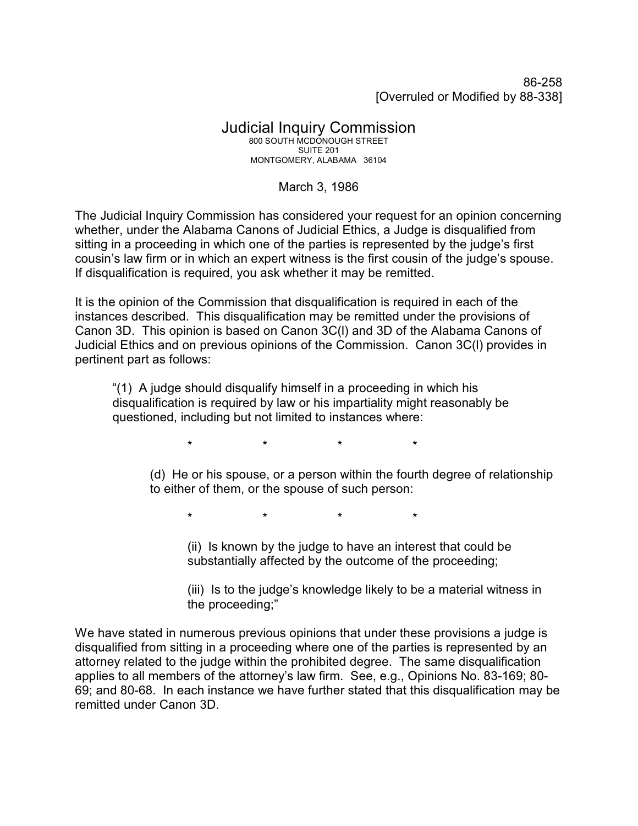86-258 [Overruled or Modified by 88-338]

## Judicial Inquiry Commission 800 SOUTH MCDONOUGH STREET SUITE 201

MONTGOMERY, ALABAMA 36104

## March 3, 1986

The Judicial Inquiry Commission has considered your request for an opinion concerning whether, under the Alabama Canons of Judicial Ethics, a Judge is disqualified from sitting in a proceeding in which one of the parties is represented by the judge's first cousin's law firm or in which an expert witness is the first cousin of the judge's spouse. If disqualification is required, you ask whether it may be remitted.

It is the opinion of the Commission that disqualification is required in each of the instances described. This disqualification may be remitted under the provisions of Canon 3D. This opinion is based on Canon 3C(l) and 3D of the Alabama Canons of Judicial Ethics and on previous opinions of the Commission. Canon 3C(l) provides in pertinent part as follows:

"(1) A judge should disqualify himself in a proceeding in which his disqualification is required by law or his impartiality might reasonably be questioned, including but not limited to instances where:

\* \* \* \*

(d) He or his spouse, or a person within the fourth degree of relationship to either of them, or the spouse of such person:

\* \* \* \*

(ii) Is known by the judge to have an interest that could be substantially affected by the outcome of the proceeding;

(iii) Is to the judge's knowledge likely to be a material witness in the proceeding;"

We have stated in numerous previous opinions that under these provisions a judge is disqualified from sitting in a proceeding where one of the parties is represented by an attorney related to the judge within the prohibited degree. The same disqualification applies to all members of the attorney's law firm. See, e.g., Opinions No. 83-169; 80- 69; and 80-68. In each instance we have further stated that this disqualification may be remitted under Canon 3D.